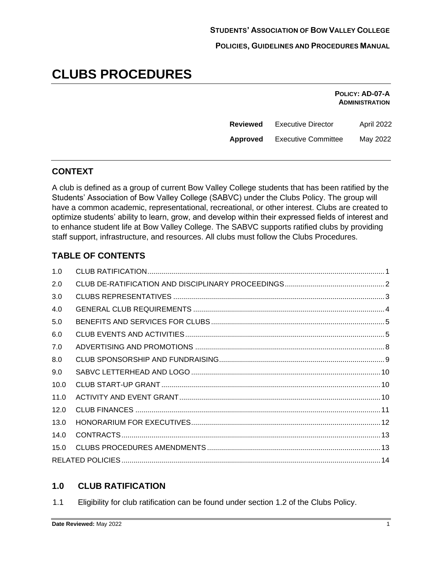# **CLUBS PROCEDURES**

#### **POLICY: AD-07-A ADMINISTRATION**

| <b>Reviewed</b> | <b>Executive Director</b>  | <b>April 2022</b> |
|-----------------|----------------------------|-------------------|
| <b>Approved</b> | <b>Executive Committee</b> | May 2022          |

## **CONTEXT**

A club is defined as a group of current Bow Valley College students that has been ratified by the Students' Association of Bow Valley College (SABVC) under the Clubs Policy. The group will have a common academic, representational, recreational, or other interest. Clubs are created to optimize students' ability to learn, grow, and develop within their expressed fields of interest and to enhance student life at Bow Valley College. The SABVC supports ratified clubs by providing staff support, infrastructure, and resources. All clubs must follow the Clubs Procedures.

## **TABLE OF CONTENTS**

| 1.0  |  |
|------|--|
| 2.0  |  |
| 3.0  |  |
| 4.0  |  |
| 5.0  |  |
| 6.0  |  |
| 7.0  |  |
| 8.0  |  |
| 9.0  |  |
| 10.0 |  |
| 11.0 |  |
| 12.0 |  |
| 13.0 |  |
| 14.0 |  |
| 15.0 |  |
|      |  |

## <span id="page-0-0"></span>**1.0 CLUB RATIFICATION**

1.1 Eligibility for club ratification can be found under section 1.2 of the Clubs Policy.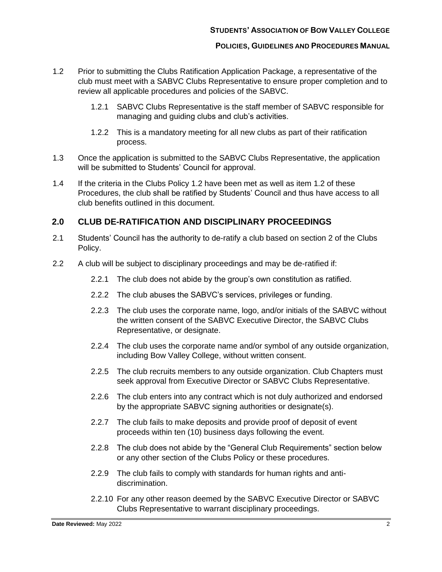- <span id="page-1-1"></span>1.2 Prior to submitting the Clubs Ratification Application Package, a representative of the club must meet with a SABVC Clubs Representative to ensure proper completion and to review all applicable procedures and policies of the SABVC.
	- 1.2.1 SABVC Clubs Representative is the staff member of SABVC responsible for managing and guiding clubs and club's activities.
	- 1.2.2 This is a mandatory meeting for all new clubs as part of their ratification process.
- 1.3 Once the application is submitted to the SABVC Clubs Representative, the application will be submitted to Students' Council for approval.
- 1.4 If the criteria in the Clubs Policy 1.2 have been met as well as item [1.2](#page-1-1) of these Procedures, the club shall be ratified by Students' Council and thus have access to all club benefits outlined in this document.

## <span id="page-1-0"></span>**2.0 CLUB DE-RATIFICATION AND DISCIPLINARY PROCEEDINGS**

- 2.1 Students' Council has the authority to de-ratify a club based on section 2 of the Clubs Policy.
- 2.2 A club will be subject to disciplinary proceedings and may be de-ratified if:
	- 2.2.1 The club does not abide by the group's own constitution as ratified.
	- 2.2.2 The club abuses the SABVC's services, privileges or funding.
	- 2.2.3 The club uses the corporate name, logo, and/or initials of the SABVC without the written consent of the SABVC Executive Director, the SABVC Clubs Representative, or designate.
	- 2.2.4 The club uses the corporate name and/or symbol of any outside organization, including Bow Valley College, without written consent.
	- 2.2.5 The club recruits members to any outside organization. Club Chapters must seek approval from Executive Director or SABVC Clubs Representative.
	- 2.2.6 The club enters into any contract which is not duly authorized and endorsed by the appropriate SABVC signing authorities or designate(s).
	- 2.2.7 The club fails to make deposits and provide proof of deposit of event proceeds within ten (10) business days following the event.
	- 2.2.8 The club does not abide by the "General Club Requirements" section below or any other section of the Clubs Policy or these procedures.
	- 2.2.9 The club fails to comply with standards for human rights and antidiscrimination.
	- 2.2.10 For any other reason deemed by the SABVC Executive Director or SABVC Clubs Representative to warrant disciplinary proceedings.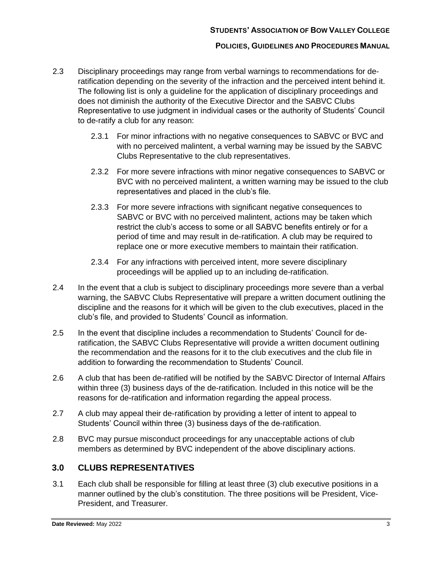#### **STUDENTS' ASSOCIATION OF BOW VALLEY COLLEGE**

## **POLICIES, GUIDELINES AND PROCEDURES MANUAL**

- 2.3 Disciplinary proceedings may range from verbal warnings to recommendations for deratification depending on the severity of the infraction and the perceived intent behind it. The following list is only a guideline for the application of disciplinary proceedings and does not diminish the authority of the Executive Director and the SABVC Clubs Representative to use judgment in individual cases or the authority of Students' Council to de-ratify a club for any reason:
	- 2.3.1 For minor infractions with no negative consequences to SABVC or BVC and with no perceived malintent, a verbal warning may be issued by the SABVC Clubs Representative to the club representatives.
	- 2.3.2 For more severe infractions with minor negative consequences to SABVC or BVC with no perceived malintent, a written warning may be issued to the club representatives and placed in the club's file.
	- 2.3.3 For more severe infractions with significant negative consequences to SABVC or BVC with no perceived malintent, actions may be taken which restrict the club's access to some or all SABVC benefits entirely or for a period of time and may result in de-ratification. A club may be required to replace one or more executive members to maintain their ratification.
	- 2.3.4 For any infractions with perceived intent, more severe disciplinary proceedings will be applied up to an including de-ratification.
- 2.4 In the event that a club is subject to disciplinary proceedings more severe than a verbal warning, the SABVC Clubs Representative will prepare a written document outlining the discipline and the reasons for it which will be given to the club executives, placed in the club's file, and provided to Students' Council as information.
- 2.5 In the event that discipline includes a recommendation to Students' Council for deratification, the SABVC Clubs Representative will provide a written document outlining the recommendation and the reasons for it to the club executives and the club file in addition to forwarding the recommendation to Students' Council.
- 2.6 A club that has been de-ratified will be notified by the SABVC Director of Internal Affairs within three (3) business days of the de-ratification. Included in this notice will be the reasons for de-ratification and information regarding the appeal process.
- 2.7 A club may appeal their de-ratification by providing a letter of intent to appeal to Students' Council within three (3) business days of the de-ratification.
- 2.8 BVC may pursue misconduct proceedings for any unacceptable actions of club members as determined by BVC independent of the above disciplinary actions.

## <span id="page-2-0"></span>**3.0 CLUBS REPRESENTATIVES**

3.1 Each club shall be responsible for filling at least three (3) club executive positions in a manner outlined by the club's constitution. The three positions will be President, Vice-President, and Treasurer.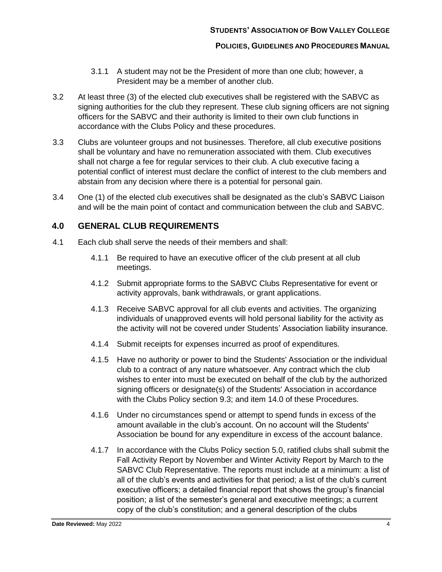- 3.1.1 A student may not be the President of more than one club; however, a President may be a member of another club.
- 3.2 At least three (3) of the elected club executives shall be registered with the SABVC as signing authorities for the club they represent. These club signing officers are not signing officers for the SABVC and their authority is limited to their own club functions in accordance with the Clubs Policy and these procedures.
- 3.3 Clubs are volunteer groups and not businesses. Therefore, all club executive positions shall be voluntary and have no remuneration associated with them. Club executives shall not charge a fee for regular services to their club. A club executive facing a potential conflict of interest must declare the conflict of interest to the club members and abstain from any decision where there is a potential for personal gain.
- 3.4 One (1) of the elected club executives shall be designated as the club's SABVC Liaison and will be the main point of contact and communication between the club and SABVC.

## <span id="page-3-0"></span>**4.0 GENERAL CLUB REQUIREMENTS**

- 4.1 Each club shall serve the needs of their members and shall:
	- 4.1.1 Be required to have an executive officer of the club present at all club meetings.
	- 4.1.2 Submit appropriate forms to the SABVC Clubs Representative for event or activity approvals, bank withdrawals, or grant applications.
	- 4.1.3 Receive SABVC approval for all club events and activities. The organizing individuals of unapproved events will hold personal liability for the activity as the activity will not be covered under Students' Association liability insurance.
	- 4.1.4 Submit receipts for expenses incurred as proof of expenditures.
	- 4.1.5 Have no authority or power to bind the Students' Association or the individual club to a contract of any nature whatsoever. Any contract which the club wishes to enter into must be executed on behalf of the club by the authorized signing officers or designate(s) of the Students' Association in accordance with the Clubs Policy section 9.3; and item [14.0](#page-12-0) of these Procedures.
	- 4.1.6 Under no circumstances spend or attempt to spend funds in excess of the amount available in the club's account. On no account will the Students' Association be bound for any expenditure in excess of the account balance.
	- 4.1.7 In accordance with the Clubs Policy section 5.0, ratified clubs shall submit the Fall Activity Report by November and Winter Activity Report by March to the SABVC Club Representative. The reports must include at a minimum: a list of all of the club's events and activities for that period; a list of the club's current executive officers; a detailed financial report that shows the group's financial position; a list of the semester's general and executive meetings; a current copy of the club's constitution; and a general description of the clubs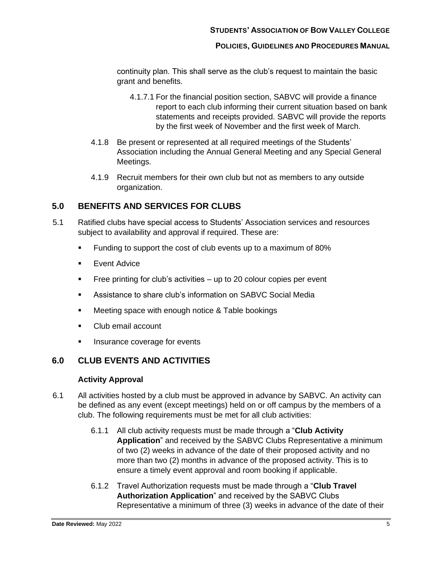continuity plan. This shall serve as the club's request to maintain the basic grant and benefits.

- 4.1.7.1 For the financial position section, SABVC will provide a finance report to each club informing their current situation based on bank statements and receipts provided. SABVC will provide the reports by the first week of November and the first week of March.
- 4.1.8 Be present or represented at all required meetings of the Students' Association including the Annual General Meeting and any Special General Meetings.
- 4.1.9 Recruit members for their own club but not as members to any outside organization.

## <span id="page-4-0"></span>**5.0 BENEFITS AND SERVICES FOR CLUBS**

- <span id="page-4-3"></span>5.1 Ratified clubs have special access to Students' Association services and resources subject to availability and approval if required. These are:
	- Funding to support the cost of club events up to a maximum of 80%
	- **■** Event Advice
	- Free printing for club's activities up to 20 colour copies per event
	- Assistance to share club's information on SABVC Social Media
	- Meeting space with enough notice & Table bookings
	- Club email account
	- **■** Insurance coverage for events

## <span id="page-4-1"></span>**6.0 CLUB EVENTS AND ACTIVITIES**

## **Activity Approval**

- <span id="page-4-2"></span>6.1 All activities hosted by a club must be approved in advance by SABVC. An activity can be defined as any event (except meetings) held on or off campus by the members of a club. The following requirements must be met for all club activities:
	- 6.1.1 All club activity requests must be made through a "**Club Activity Application**" and received by the SABVC Clubs Representative a minimum of two (2) weeks in advance of the date of their proposed activity and no more than two (2) months in advance of the proposed activity. This is to ensure a timely event approval and room booking if applicable.
	- 6.1.2 Travel Authorization requests must be made through a "**Club Travel Authorization Application**" and received by the SABVC Clubs Representative a minimum of three (3) weeks in advance of the date of their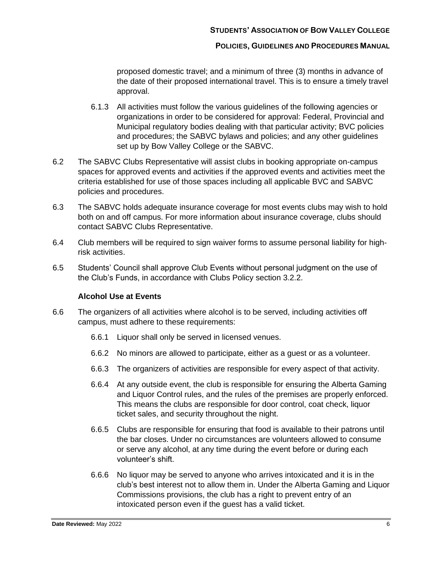#### **STUDENTS' ASSOCIATION OF BOW VALLEY COLLEGE**

#### **POLICIES, GUIDELINES AND PROCEDURES MANUAL**

proposed domestic travel; and a minimum of three (3) months in advance of the date of their proposed international travel. This is to ensure a timely travel approval.

- 6.1.3 All activities must follow the various guidelines of the following agencies or organizations in order to be considered for approval: Federal, Provincial and Municipal regulatory bodies dealing with that particular activity; BVC policies and procedures; the SABVC bylaws and policies; and any other guidelines set up by Bow Valley College or the SABVC.
- 6.2 The SABVC Clubs Representative will assist clubs in booking appropriate on-campus spaces for approved events and activities if the approved events and activities meet the criteria established for use of those spaces including all applicable BVC and SABVC policies and procedures.
- 6.3 The SABVC holds adequate insurance coverage for most events clubs may wish to hold both on and off campus. For more information about insurance coverage, clubs should contact SABVC Clubs Representative.
- 6.4 Club members will be required to sign waiver forms to assume personal liability for highrisk activities.
- 6.5 Students' Council shall approve Club Events without personal judgment on the use of the Club's Funds, in accordance with Clubs Policy section 3.2.2.

#### **Alcohol Use at Events**

- 6.6 The organizers of all activities where alcohol is to be served, including activities off campus, must adhere to these requirements:
	- 6.6.1 Liquor shall only be served in licensed venues.
	- 6.6.2 No minors are allowed to participate, either as a guest or as a volunteer.
	- 6.6.3 The organizers of activities are responsible for every aspect of that activity.
	- 6.6.4 At any outside event, the club is responsible for ensuring the Alberta Gaming and Liquor Control rules, and the rules of the premises are properly enforced. This means the clubs are responsible for door control, coat check, liquor ticket sales, and security throughout the night.
	- 6.6.5 Clubs are responsible for ensuring that food is available to their patrons until the bar closes. Under no circumstances are volunteers allowed to consume or serve any alcohol, at any time during the event before or during each volunteer's shift.
	- 6.6.6 No liquor may be served to anyone who arrives intoxicated and it is in the club's best interest not to allow them in. Under the Alberta Gaming and Liquor Commissions provisions, the club has a right to prevent entry of an intoxicated person even if the guest has a valid ticket.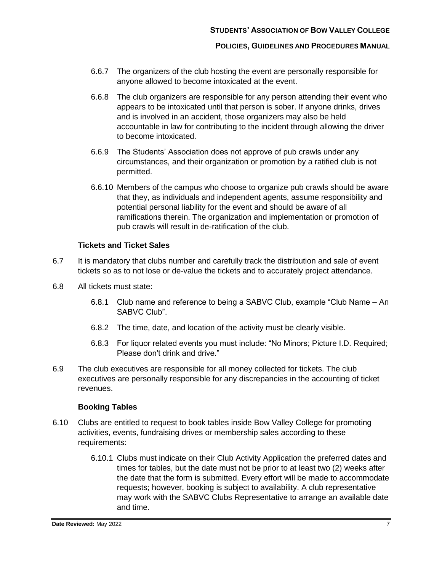- 6.6.7 The organizers of the club hosting the event are personally responsible for anyone allowed to become intoxicated at the event.
- 6.6.8 The club organizers are responsible for any person attending their event who appears to be intoxicated until that person is sober. If anyone drinks, drives and is involved in an accident, those organizers may also be held accountable in law for contributing to the incident through allowing the driver to become intoxicated.
- 6.6.9 The Students' Association does not approve of pub crawls under any circumstances, and their organization or promotion by a ratified club is not permitted.
- 6.6.10 Members of the campus who choose to organize pub crawls should be aware that they, as individuals and independent agents, assume responsibility and potential personal liability for the event and should be aware of all ramifications therein. The organization and implementation or promotion of pub crawls will result in de-ratification of the club.

#### **Tickets and Ticket Sales**

- 6.7 It is mandatory that clubs number and carefully track the distribution and sale of event tickets so as to not lose or de-value the tickets and to accurately project attendance.
- 6.8 All tickets must state:
	- 6.8.1 Club name and reference to being a SABVC Club, example "Club Name An SABVC Club".
	- 6.8.2 The time, date, and location of the activity must be clearly visible.
	- 6.8.3 For liquor related events you must include: "No Minors; Picture I.D. Required; Please don't drink and drive."
- 6.9 The club executives are responsible for all money collected for tickets. The club executives are personally responsible for any discrepancies in the accounting of ticket revenues.

#### **Booking Tables**

- 6.10 Clubs are entitled to request to book tables inside Bow Valley College for promoting activities, events, fundraising drives or membership sales according to these requirements:
	- 6.10.1 Clubs must indicate on their Club Activity Application the preferred dates and times for tables, but the date must not be prior to at least two (2) weeks after the date that the form is submitted. Every effort will be made to accommodate requests; however, booking is subject to availability. A club representative may work with the SABVC Clubs Representative to arrange an available date and time.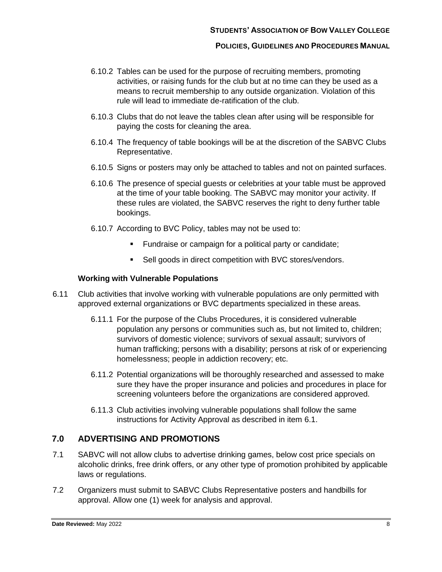- 6.10.2 Tables can be used for the purpose of recruiting members, promoting activities, or raising funds for the club but at no time can they be used as a means to recruit membership to any outside organization. Violation of this rule will lead to immediate de-ratification of the club.
- 6.10.3 Clubs that do not leave the tables clean after using will be responsible for paying the costs for cleaning the area.
- 6.10.4 The frequency of table bookings will be at the discretion of the SABVC Clubs Representative.
- 6.10.5 Signs or posters may only be attached to tables and not on painted surfaces.
- 6.10.6 The presence of special guests or celebrities at your table must be approved at the time of your table booking. The SABVC may monitor your activity. If these rules are violated, the SABVC reserves the right to deny further table bookings.
- 6.10.7 According to BVC Policy, tables may not be used to:
	- Fundraise or campaign for a political party or candidate;
	- Sell goods in direct competition with BVC stores/vendors.

#### **Working with Vulnerable Populations**

- 6.11 Club activities that involve working with vulnerable populations are only permitted with approved external organizations or BVC departments specialized in these areas.
	- 6.11.1 For the purpose of the Clubs Procedures, it is considered vulnerable population any persons or communities such as, but not limited to, children; survivors of domestic violence; survivors of sexual assault; survivors of human trafficking; persons with a disability; persons at risk of or experiencing homelessness; people in addiction recovery; etc.
	- 6.11.2 Potential organizations will be thoroughly researched and assessed to make sure they have the proper insurance and policies and procedures in place for screening volunteers before the organizations are considered approved.
	- 6.11.3 Club activities involving vulnerable populations shall follow the same instructions for Activity Approval as described in item [6.1.](#page-4-2)

## <span id="page-7-0"></span>**7.0 ADVERTISING AND PROMOTIONS**

- 7.1 SABVC will not allow clubs to advertise drinking games, below cost price specials on alcoholic drinks, free drink offers, or any other type of promotion prohibited by applicable laws or regulations.
- 7.2 Organizers must submit to SABVC Clubs Representative posters and handbills for approval. Allow one (1) week for analysis and approval.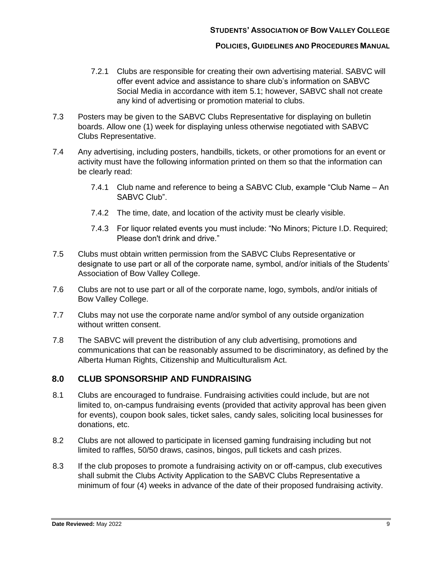- 7.2.1 Clubs are responsible for creating their own advertising material. SABVC will offer event advice and assistance to share club's information on SABVC Social Media in accordance with item [5.1;](#page-4-3) however, SABVC shall not create any kind of advertising or promotion material to clubs.
- 7.3 Posters may be given to the SABVC Clubs Representative for displaying on bulletin boards. Allow one (1) week for displaying unless otherwise negotiated with SABVC Clubs Representative.
- 7.4 Any advertising, including posters, handbills, tickets, or other promotions for an event or activity must have the following information printed on them so that the information can be clearly read:
	- 7.4.1 Club name and reference to being a SABVC Club, example "Club Name An SABVC Club".
	- 7.4.2 The time, date, and location of the activity must be clearly visible.
	- 7.4.3 For liquor related events you must include: "No Minors; Picture I.D. Required; Please don't drink and drive."
- 7.5 Clubs must obtain written permission from the SABVC Clubs Representative or designate to use part or all of the corporate name, symbol, and/or initials of the Students' Association of Bow Valley College.
- 7.6 Clubs are not to use part or all of the corporate name, logo, symbols, and/or initials of Bow Valley College.
- 7.7 Clubs may not use the corporate name and/or symbol of any outside organization without written consent.
- 7.8 The SABVC will prevent the distribution of any club advertising, promotions and communications that can be reasonably assumed to be discriminatory, as defined by the Alberta Human Rights, Citizenship and Multiculturalism Act.

## <span id="page-8-0"></span>**8.0 CLUB SPONSORSHIP AND FUNDRAISING**

- 8.1 Clubs are encouraged to fundraise. Fundraising activities could include, but are not limited to, on-campus fundraising events (provided that activity approval has been given for events), coupon book sales, ticket sales, candy sales, soliciting local businesses for donations, etc.
- 8.2 Clubs are not allowed to participate in licensed gaming fundraising including but not limited to raffles, 50/50 draws, casinos, bingos, pull tickets and cash prizes.
- 8.3 If the club proposes to promote a fundraising activity on or off-campus, club executives shall submit the Clubs Activity Application to the SABVC Clubs Representative a minimum of four (4) weeks in advance of the date of their proposed fundraising activity.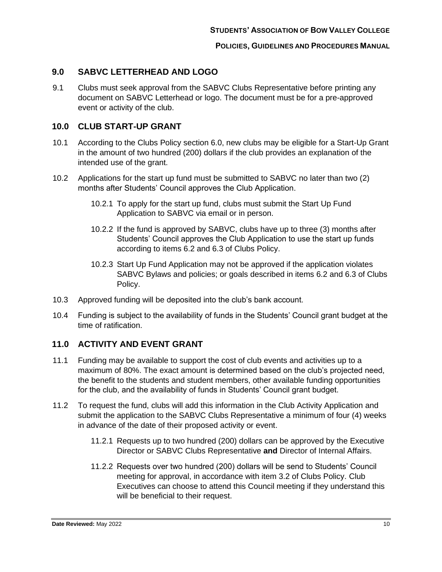## <span id="page-9-0"></span>**9.0 SABVC LETTERHEAD AND LOGO**

9.1 Clubs must seek approval from the SABVC Clubs Representative before printing any document on SABVC Letterhead or logo. The document must be for a pre-approved event or activity of the club.

## <span id="page-9-1"></span>**10.0 CLUB START-UP GRANT**

- 10.1 According to the Clubs Policy section 6.0, new clubs may be eligible for a Start-Up Grant in the amount of two hundred (200) dollars if the club provides an explanation of the intended use of the grant.
- 10.2 Applications for the start up fund must be submitted to SABVC no later than two (2) months after Students' Council approves the Club Application.
	- 10.2.1 To apply for the start up fund, clubs must submit the Start Up Fund Application to SABVC via email or in person.
	- 10.2.2 If the fund is approved by SABVC, clubs have up to three (3) months after Students' Council approves the Club Application to use the start up funds according to items 6.2 and 6.3 of Clubs Policy.
	- 10.2.3 Start Up Fund Application may not be approved if the application violates SABVC Bylaws and policies; or goals described in items 6.2 and 6.3 of Clubs Policy.
- 10.3 Approved funding will be deposited into the club's bank account.
- 10.4 Funding is subject to the availability of funds in the Students' Council grant budget at the time of ratification.

## <span id="page-9-2"></span>**11.0 ACTIVITY AND EVENT GRANT**

- 11.1 Funding may be available to support the cost of club events and activities up to a maximum of 80%. The exact amount is determined based on the club's projected need, the benefit to the students and student members, other available funding opportunities for the club, and the availability of funds in Students' Council grant budget.
- 11.2 To request the fund, clubs will add this information in the Club Activity Application and submit the application to the SABVC Clubs Representative a minimum of four (4) weeks in advance of the date of their proposed activity or event.
	- 11.2.1 Requests up to two hundred (200) dollars can be approved by the Executive Director or SABVC Clubs Representative **and** Director of Internal Affairs.
	- 11.2.2 Requests over two hundred (200) dollars will be send to Students' Council meeting for approval, in accordance with item 3.2 of Clubs Policy. Club Executives can choose to attend this Council meeting if they understand this will be beneficial to their request.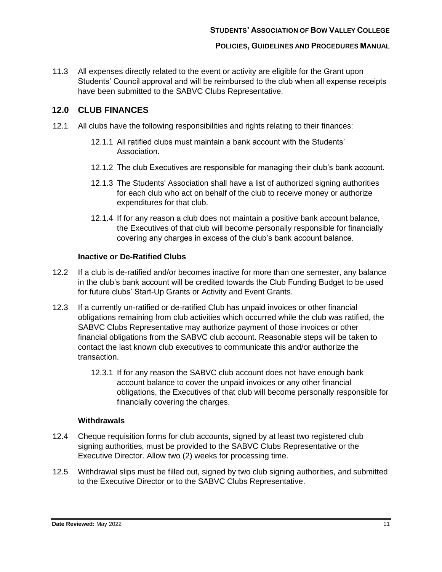11.3 All expenses directly related to the event or activity are eligible for the Grant upon Students' Council approval and will be reimbursed to the club when all expense receipts have been submitted to the SABVC Clubs Representative.

### <span id="page-10-0"></span>**12.0 CLUB FINANCES**

- 12.1 All clubs have the following responsibilities and rights relating to their finances:
	- 12.1.1 All ratified clubs must maintain a bank account with the Students' Association.
	- 12.1.2 The club Executives are responsible for managing their club's bank account.
	- 12.1.3 The Students' Association shall have a list of authorized signing authorities for each club who act on behalf of the club to receive money or authorize expenditures for that club.
	- 12.1.4 If for any reason a club does not maintain a positive bank account balance, the Executives of that club will become personally responsible for financially covering any charges in excess of the club's bank account balance.

#### **Inactive or De-Ratified Clubs**

- 12.2 If a club is de-ratified and/or becomes inactive for more than one semester, any balance in the club's bank account will be credited towards the Club Funding Budget to be used for future clubs' Start-Up Grants or Activity and Event Grants.
- 12.3 If a currently un-ratified or de-ratified Club has unpaid invoices or other financial obligations remaining from club activities which occurred while the club was ratified, the SABVC Clubs Representative may authorize payment of those invoices or other financial obligations from the SABVC club account. Reasonable steps will be taken to contact the last known club executives to communicate this and/or authorize the transaction.
	- 12.3.1 If for any reason the SABVC club account does not have enough bank account balance to cover the unpaid invoices or any other financial obligations, the Executives of that club will become personally responsible for financially covering the charges.

#### **Withdrawals**

- 12.4 Cheque requisition forms for club accounts, signed by at least two registered club signing authorities, must be provided to the SABVC Clubs Representative or the Executive Director. Allow two (2) weeks for processing time.
- 12.5 Withdrawal slips must be filled out, signed by two club signing authorities, and submitted to the Executive Director or to the SABVC Clubs Representative.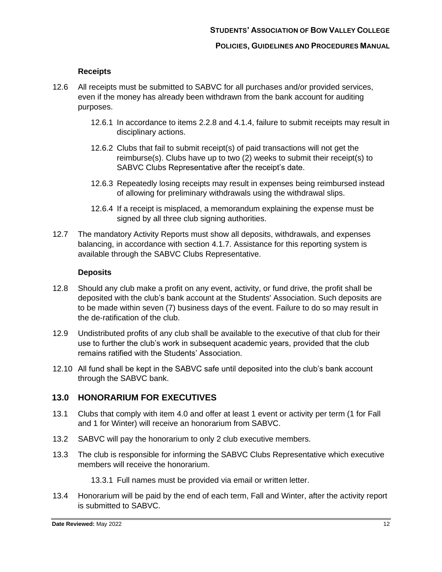#### **Receipts**

- 12.6 All receipts must be submitted to SABVC for all purchases and/or provided services, even if the money has already been withdrawn from the bank account for auditing purposes.
	- 12.6.1 In accordance to items 2.2.8 and 4.1.4, failure to submit receipts may result in disciplinary actions.
	- 12.6.2 Clubs that fail to submit receipt(s) of paid transactions will not get the reimburse(s). Clubs have up to two (2) weeks to submit their receipt(s) to SABVC Clubs Representative after the receipt's date.
	- 12.6.3 Repeatedly losing receipts may result in expenses being reimbursed instead of allowing for preliminary withdrawals using the withdrawal slips.
	- 12.6.4 If a receipt is misplaced, a memorandum explaining the expense must be signed by all three club signing authorities.
- 12.7 The mandatory Activity Reports must show all deposits, withdrawals, and expenses balancing, in accordance with section 4.1.7. Assistance for this reporting system is available through the SABVC Clubs Representative.

#### **Deposits**

- 12.8 Should any club make a profit on any event, activity, or fund drive, the profit shall be deposited with the club's bank account at the Students' Association. Such deposits are to be made within seven (7) business days of the event. Failure to do so may result in the de-ratification of the club.
- 12.9 Undistributed profits of any club shall be available to the executive of that club for their use to further the club's work in subsequent academic years, provided that the club remains ratified with the Students' Association.
- 12.10 All fund shall be kept in the SABVC safe until deposited into the club's bank account through the SABVC bank.

## <span id="page-11-0"></span>**13.0 HONORARIUM FOR EXECUTIVES**

- 13.1 Clubs that comply with item 4.0 and offer at least 1 event or activity per term (1 for Fall and 1 for Winter) will receive an honorarium from SABVC.
- 13.2 SABVC will pay the honorarium to only 2 club executive members.
- 13.3 The club is responsible for informing the SABVC Clubs Representative which executive members will receive the honorarium.

13.3.1 Full names must be provided via email or written letter.

13.4 Honorarium will be paid by the end of each term, Fall and Winter, after the activity report is submitted to SABVC.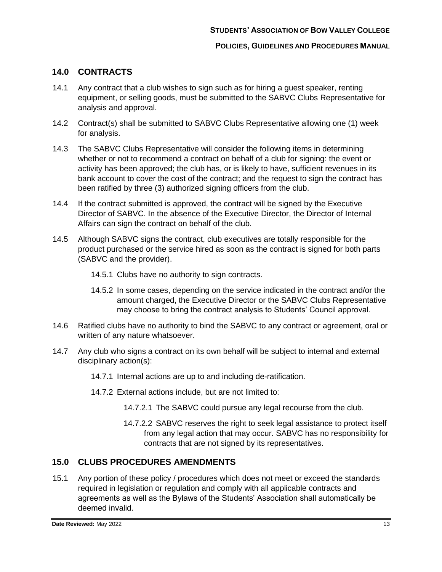## <span id="page-12-0"></span>**14.0 CONTRACTS**

- 14.1 Any contract that a club wishes to sign such as for hiring a guest speaker, renting equipment, or selling goods, must be submitted to the SABVC Clubs Representative for analysis and approval.
- 14.2 Contract(s) shall be submitted to SABVC Clubs Representative allowing one (1) week for analysis.
- 14.3 The SABVC Clubs Representative will consider the following items in determining whether or not to recommend a contract on behalf of a club for signing: the event or activity has been approved; the club has, or is likely to have, sufficient revenues in its bank account to cover the cost of the contract; and the request to sign the contract has been ratified by three (3) authorized signing officers from the club.
- 14.4 If the contract submitted is approved, the contract will be signed by the Executive Director of SABVC. In the absence of the Executive Director, the Director of Internal Affairs can sign the contract on behalf of the club.
- 14.5 Although SABVC signs the contract, club executives are totally responsible for the product purchased or the service hired as soon as the contract is signed for both parts (SABVC and the provider).
	- 14.5.1 Clubs have no authority to sign contracts.
	- 14.5.2 In some cases, depending on the service indicated in the contract and/or the amount charged, the Executive Director or the SABVC Clubs Representative may choose to bring the contract analysis to Students' Council approval.
- 14.6 Ratified clubs have no authority to bind the SABVC to any contract or agreement, oral or written of any nature whatsoever.
- 14.7 Any club who signs a contract on its own behalf will be subject to internal and external disciplinary action(s):
	- 14.7.1 Internal actions are up to and including de-ratification.
	- 14.7.2 External actions include, but are not limited to:
		- 14.7.2.1 The SABVC could pursue any legal recourse from the club.
		- 14.7.2.2 SABVC reserves the right to seek legal assistance to protect itself from any legal action that may occur. SABVC has no responsibility for contracts that are not signed by its representatives.

## <span id="page-12-1"></span>**15.0 CLUBS PROCEDURES AMENDMENTS**

15.1 Any portion of these policy / procedures which does not meet or exceed the standards required in legislation or regulation and comply with all applicable contracts and agreements as well as the Bylaws of the Students' Association shall automatically be deemed invalid.